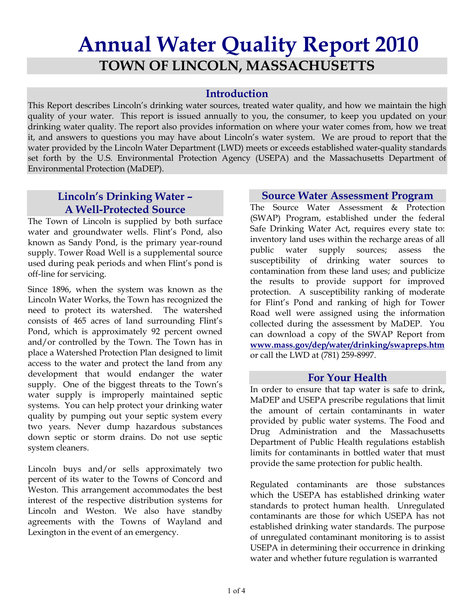# **Annual Water Quality Report 2010 TOWN OF LINCOLN, MASSACHUSETTS**

### **Introduction**

This Report describes Lincoln's drinking water sources, treated water quality, and how we maintain the high quality of your water. This report is issued annually to you, the consumer, to keep you updated on your drinking water quality. The report also provides information on where your water comes from, how we treat it, and answers to questions you may have about Lincoln's water system. We are proud to report that the water provided by the Lincoln Water Department (LWD) meets or exceeds established water-quality standards set forth by the U.S. Environmental Protection Agency (USEPA) and the Massachusetts Department of Environmental Protection (MaDEP).

# **Lincoln's Drinking Water – A Well-Protected Source**

The Town of Lincoln is supplied by both surface water and groundwater wells. Flint's Pond, also known as Sandy Pond, is the primary year-round supply. Tower Road Well is a supplemental source used during peak periods and when Flint's pond is off-line for servicing.

Since 1896, when the system was known as the Lincoln Water Works, the Town has recognized the need to protect its watershed. The watershed consists of 465 acres of land surrounding Flint's Pond, which is approximately 92 percent owned and/or controlled by the Town. The Town has in place a Watershed Protection Plan designed to limit access to the water and protect the land from any development that would endanger the water supply. One of the biggest threats to the Town's water supply is improperly maintained septic systems. You can help protect your drinking water quality by pumping out your septic system every two years. Never dump hazardous substances down septic or storm drains. Do not use septic system cleaners.

Lincoln buys and/or sells approximately two percent of its water to the Towns of Concord and Weston. This arrangement accommodates the best interest of the respective distribution systems for Lincoln and Weston. We also have standby agreements with the Towns of Wayland and Lexington in the event of an emergency.

#### **Source Water Assessment Program**

The Source Water Assessment & Protection (SWAP) Program, established under the federal Safe Drinking Water Act, requires every state to: inventory land uses within the recharge areas of all public water supply sources; assess the susceptibility of drinking water sources to contamination from these land uses; and publicize the results to provide support for improved protection. A susceptibility ranking of moderate for Flint's Pond and ranking of high for Tower Road well were assigned using the information collected during the assessment by MaDEP. You can download a copy of the SWAP Report from **www.mass.gov/dep/water/drinking/swapreps.htm** or call the LWD at (781) 259-8997.

#### **For Your Health**

In order to ensure that tap water is safe to drink, MaDEP and USEPA prescribe regulations that limit the amount of certain contaminants in water provided by public water systems. The Food and Drug Administration and the Massachusetts Department of Public Health regulations establish limits for contaminants in bottled water that must provide the same protection for public health.

Regulated contaminants are those substances which the USEPA has established drinking water standards to protect human health. Unregulated contaminants are those for which USEPA has not established drinking water standards. The purpose of unregulated contaminant monitoring is to assist USEPA in determining their occurrence in drinking water and whether future regulation is warranted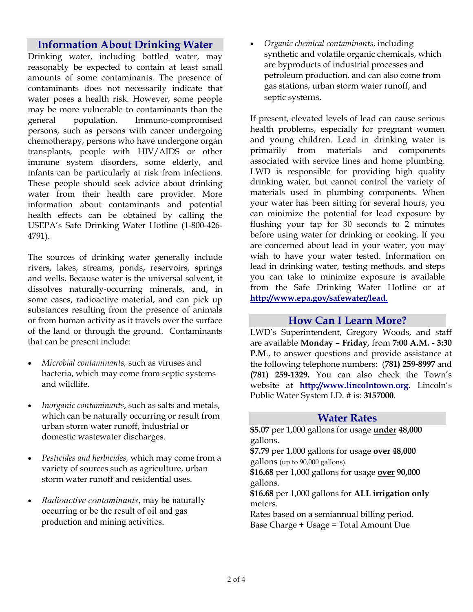## **Information About Drinking Water**

Drinking water, including bottled water, may reasonably be expected to contain at least small amounts of some contaminants. The presence of contaminants does not necessarily indicate that water poses a health risk. However, some people may be more vulnerable to contaminants than the general population. Immuno-compromised persons, such as persons with cancer undergoing chemotherapy, persons who have undergone organ transplants, people with HIV/AIDS or other immune system disorders, some elderly, and infants can be particularly at risk from infections. These people should seek advice about drinking water from their health care provider. More information about contaminants and potential health effects can be obtained by calling the USEPA's Safe Drinking Water Hotline (1-800-426- 4791).

The sources of drinking water generally include rivers, lakes, streams, ponds, reservoirs, springs and wells. Because water is the universal solvent, it dissolves naturally-occurring minerals, and, in some cases, radioactive material, and can pick up substances resulting from the presence of animals or from human activity as it travels over the surface of the land or through the ground. Contaminants that can be present include:

- *Microbial contaminants,* such as viruses and bacteria, which may come from septic systems and wildlife.
- *Inorganic contaminants*, such as salts and metals, which can be naturally occurring or result from urban storm water runoff, industrial or domestic wastewater discharges.
- *Pesticides and herbicides,* which may come from a variety of sources such as agriculture, urban storm water runoff and residential uses.
- *Radioactive contaminants*, may be naturally occurring or be the result of oil and gas production and mining activities.

• *Organic chemical contaminants*, including synthetic and volatile organic chemicals, which are byproducts of industrial processes and petroleum production, and can also come from gas stations, urban storm water runoff, and septic systems.

If present, elevated levels of lead can cause serious health problems, especially for pregnant women and young children. Lead in drinking water is primarily from materials and components associated with service lines and home plumbing. LWD is responsible for providing high quality drinking water, but cannot control the variety of materials used in plumbing components. When your water has been sitting for several hours, you can minimize the potential for lead exposure by flushing your tap for 30 seconds to 2 minutes before using water for drinking or cooking. If you are concerned about lead in your water, you may wish to have your water tested. Information on lead in drinking water, testing methods, and steps you can take to minimize exposure is available from the Safe Drinking Water Hotline or at **http://www.epa.gov/safewater/lead**.

#### **How Can I Learn More?**

LWD's Superintendent, Gregory Woods, and staff are available **Monday – Friday**, from **7:00 A.M. - 3:30 P.M**., to answer questions and provide assistance at the following telephone numbers: (**781) 259-8997** and **(781) 259-1329.** You can also check the Town's website at **http://www.lincolntown.org**. Lincoln's Public Water System I.D. # is: **3157000**.

#### **Water Rates**

**\$5.07** per 1,000 gallons for usage **under 48,000**  gallons.

**\$7.79** per 1,000 gallons for usage **over 48,000**  gallons (up to 90,000 gallons).

**\$16.68** per 1,000 gallons for usage **over 90,000** gallons.

**\$16.68** per 1,000 gallons for **ALL irrigation only**  meters.

Rates based on a semiannual billing period. Base Charge + Usage = Total Amount Due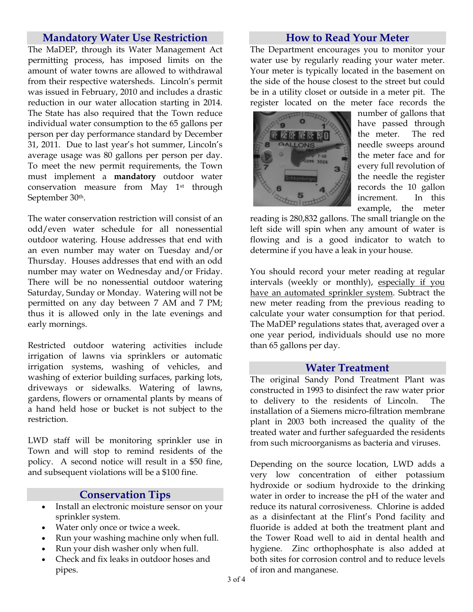#### **Mandatory Water Use Restriction**

The MaDEP, through its Water Management Act permitting process, has imposed limits on the amount of water towns are allowed to withdrawal from their respective watersheds. Lincoln's permit was issued in February, 2010 and includes a drastic reduction in our water allocation starting in 2014. The State has also required that the Town reduce individual water consumption to the 65 gallons per person per day performance standard by December 31, 2011. Due to last year's hot summer, Lincoln's average usage was 80 gallons per person per day. To meet the new permit requirements, the Town must implement a **mandatory** outdoor water conservation measure from May 1st through September 30th.

The water conservation restriction will consist of an odd/even water schedule for all nonessential outdoor watering. House addresses that end with an even number may water on Tuesday and/or Thursday. Houses addresses that end with an odd number may water on Wednesday and/or Friday. There will be no nonessential outdoor watering Saturday, Sunday or Monday. Watering will not be permitted on any day between 7 AM and 7 PM; thus it is allowed only in the late evenings and early mornings.

Restricted outdoor watering activities include irrigation of lawns via sprinklers or automatic irrigation systems, washing of vehicles, and washing of exterior building surfaces, parking lots, driveways or sidewalks. Watering of lawns, gardens, flowers or ornamental plants by means of a hand held hose or bucket is not subject to the restriction.

LWD staff will be monitoring sprinkler use in Town and will stop to remind residents of the policy. A second notice will result in a \$50 fine, and subsequent violations will be a \$100 fine.

#### **Conservation Tips**

- Install an electronic moisture sensor on your sprinkler system.
- Water only once or twice a week.
- Run your washing machine only when full.
- Run your dish washer only when full.
- Check and fix leaks in outdoor hoses and pipes.

#### **How to Read Your Meter**

The Department encourages you to monitor your water use by regularly reading your water meter. Your meter is typically located in the basement on the side of the house closest to the street but could be in a utility closet or outside in a meter pit. The register located on the meter face records the



number of gallons that have passed through the meter. The red needle sweeps around the meter face and for every full revolution of the needle the register records the 10 gallon increment. In this example, the meter

reading is 280,832 gallons. The small triangle on the left side will spin when any amount of water is flowing and is a good indicator to watch to determine if you have a leak in your house.

You should record your meter reading at regular intervals (weekly or monthly), especially if you have an automated sprinkler system. Subtract the new meter reading from the previous reading to calculate your water consumption for that period. The MaDEP regulations states that, averaged over a one year period, individuals should use no more than 65 gallons per day.

#### **Water Treatment**

The original Sandy Pond Treatment Plant was constructed in 1993 to disinfect the raw water prior to delivery to the residents of Lincoln. The installation of a Siemens micro-filtration membrane plant in 2003 both increased the quality of the treated water and further safeguarded the residents from such microorganisms as bacteria and viruses.

Depending on the source location, LWD adds a very low concentration of either potassium hydroxide or sodium hydroxide to the drinking water in order to increase the pH of the water and reduce its natural corrosiveness. Chlorine is added as a disinfectant at the Flint's Pond facility and fluoride is added at both the treatment plant and the Tower Road well to aid in dental health and hygiene. Zinc orthophosphate is also added at both sites for corrosion control and to reduce levels of iron and manganese.